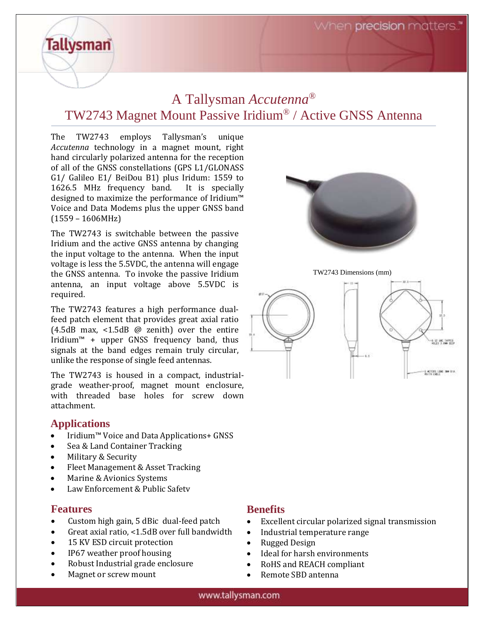When **precision** matters."

# A Tallysman *Accutenna®* TW2743 Magnet Mount Passive Iridium® / Active GNSS Antenna

The TW2743 employs Tallysman's unique *Accutenna* technology in a magnet mount, right hand circularly polarized antenna for the reception of all of the GNSS constellations (GPS L1/GLONASS G1/ Galileo E1/ BeiDou B1) plus Iridum: 1559 to 1626.5 MHz frequency band. It is specially designed to maximize the performance of Iridium™ Voice and Data Modems plus the upper GNSS band (1559 – 1606MHz)

The TW2743 is switchable between the passive Iridium and the active GNSS antenna by changing the input voltage to the antenna. When the input voltage is less the 5.5VDC, the antenna will engage the GNSS antenna. To invoke the passive Iridium antenna, an input voltage above 5.5VDC is required.

The TW2743 features a high performance dualfeed patch element that provides great axial ratio (4.5dB max, <1.5dB @ zenith) over the entire Iridium™ + upper GNSS frequency band, thus signals at the band edges remain truly circular, unlike the response of single feed antennas.

The TW2743 is housed in a compact, industrialgrade weather-proof, magnet mount enclosure, with threaded base holes for screw down attachment.

#### **Applications**

**Tallysman** 

- Iridium™ Voice and Data Applications+ GNSS
- Sea & Land Container Tracking
- Military & Security
- Fleet Management & Asset Tracking
- Marine & Avionics Systems
- Law Enforcement & Public Safety

#### **Features**

- Custom high gain, 5 dBic dual-feed patch
- Great axial ratio, <1.5dB over full bandwidth
- 15 KV ESD circuit protection
- IP67 weather proof housing
- Robust Industrial grade enclosure
- Magnet or screw mount



TW2743 Dimensions (mm)



#### **Benefits**

- Excellent circular polarized signal transmission
- Industrial temperature range
- Rugged Design
- Ideal for harsh environments
- RoHS and REACH compliant
- Remote SBD antenna